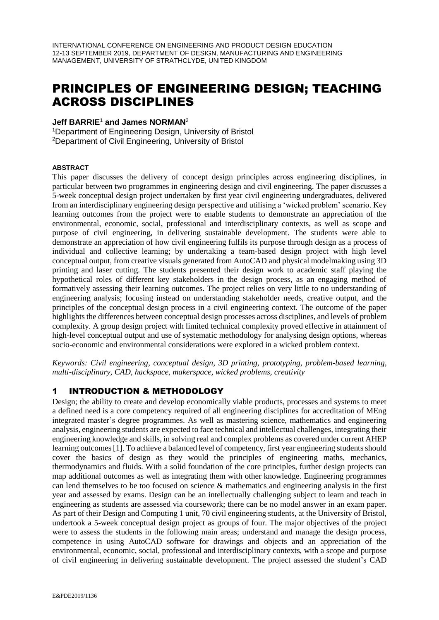# PRINCIPLES OF ENGINEERING DESIGN; TEACHING ACROSS DISCIPLINES

#### **Jeff BARRIE**<sup>1</sup> **and James NORMAN**<sup>2</sup>

<sup>1</sup>Department of Engineering Design, University of Bristol <sup>2</sup>Department of Civil Engineering, University of Bristol

#### **ABSTRACT**

This paper discusses the delivery of concept design principles across engineering disciplines, in particular between two programmes in engineering design and civil engineering. The paper discusses a 5-week conceptual design project undertaken by first year civil engineering undergraduates, delivered from an interdisciplinary engineering design perspective and utilising a 'wicked problem' scenario. Key learning outcomes from the project were to enable students to demonstrate an appreciation of the environmental, economic, social, professional and interdisciplinary contexts, as well as scope and purpose of civil engineering, in delivering sustainable development. The students were able to demonstrate an appreciation of how civil engineering fulfils its purpose through design as a process of individual and collective learning; by undertaking a team-based design project with high level conceptual output, from creative visuals generated from AutoCAD and physical modelmaking using 3D printing and laser cutting. The students presented their design work to academic staff playing the hypothetical roles of different key stakeholders in the design process, as an engaging method of formatively assessing their learning outcomes. The project relies on very little to no understanding of engineering analysis; focusing instead on understanding stakeholder needs, creative output, and the principles of the conceptual design process in a civil engineering context. The outcome of the paper highlights the differences between conceptual design processes across disciplines, and levels of problem complexity. A group design project with limited technical complexity proved effective in attainment of high-level conceptual output and use of systematic methodology for analysing design options, whereas socio-economic and environmental considerations were explored in a wicked problem context.

*Keywords: Civil engineering, conceptual design, 3D printing, prototyping, problem-based learning, multi-disciplinary, CAD, hackspace, makerspace, wicked problems, creativity*

### 1 INTRODUCTION & METHODOLOGY

Design; the ability to create and develop economically viable products, processes and systems to meet a defined need is a core competency required of all engineering disciplines for accreditation of MEng integrated master's degree programmes. As well as mastering science, mathematics and engineering analysis, engineering students are expected to face technical and intellectual challenges, integrating their engineering knowledge and skills, in solving real and complex problems as covered under current AHEP learning outcomes[1]. To achieve a balanced level of competency, first year engineering students should cover the basics of design as they would the principles of engineering maths, mechanics, thermodynamics and fluids. With a solid foundation of the core principles, further design projects can map additional outcomes as well as integrating them with other knowledge. Engineering programmes can lend themselves to be too focused on science & mathematics and engineering analysis in the first year and assessed by exams. Design can be an intellectually challenging subject to learn and teach in engineering as students are assessed via coursework; there can be no model answer in an exam paper. As part of their Design and Computing 1 unit, 70 civil engineering students, at the University of Bristol, undertook a 5-week conceptual design project as groups of four. The major objectives of the project were to assess the students in the following main areas; understand and manage the design process, competence in using AutoCAD software for drawings and objects and an appreciation of the environmental, economic, social, professional and interdisciplinary contexts, with a scope and purpose of civil engineering in delivering sustainable development. The project assessed the student's CAD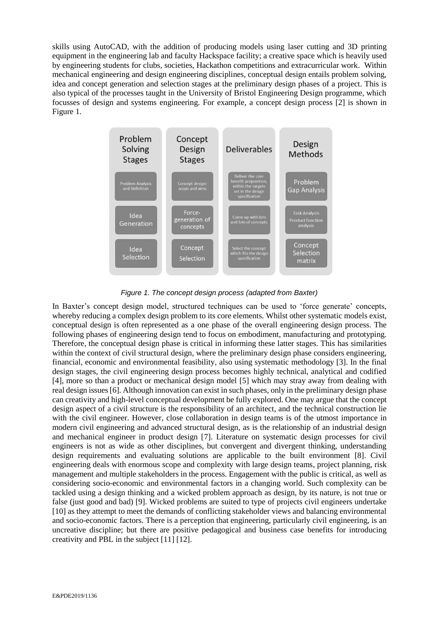skills using AutoCAD, with the addition of producing models using laser cutting and 3D printing equipment in the engineering lab and faculty Hackspace facility; a creative space which is heavily used by engineering students for clubs, societies, Hackathon competitions and extracurricular work. Within mechanical engineering and design engineering disciplines, conceptual design entails problem solving, idea and concept generation and selection stages at the preliminary design phases of a project. This is also typical of the processes taught in the University of Bristol Engineering Design programme, which focusses of design and systems engineering. For example, a concept design process [2] is shown in Figure 1.



*Figure 1. The concept design process (adapted from Baxter)*

In Baxter's concept design model, structured techniques can be used to 'force generate' concepts, whereby reducing a complex design problem to its core elements. Whilst other systematic models exist, conceptual design is often represented as a one phase of the overall engineering design process. The following phases of engineering design tend to focus on embodiment, manufacturing and prototyping. Therefore, the conceptual design phase is critical in informing these latter stages. This has similarities within the context of civil structural design, where the preliminary design phase considers engineering, financial, economic and environmental feasibility, also using systematic methodology [3]. In the final design stages, the civil engineering design process becomes highly technical, analytical and codified [4], more so than a product or mechanical design model [5] which may stray away from dealing with real design issues [6]. Although innovation can exist in such phases, only in the preliminary design phase can creativity and high-level conceptual development be fully explored. One may argue that the concept design aspect of a civil structure is the responsibility of an architect, and the technical construction lie with the civil engineer. However, close collaboration in design teams is of the utmost importance in modern civil engineering and advanced structural design, as is the relationship of an industrial design and mechanical engineer in product design [7]. Literature on systematic design processes for civil engineers is not as wide as other disciplines, but convergent and divergent thinking, understanding design requirements and evaluating solutions are applicable to the built environment [8]. Civil engineering deals with enormous scope and complexity with large design teams, project planning, risk management and multiple stakeholders in the process. Engagement with the public is critical, as well as considering socio-economic and environmental factors in a changing world. Such complexity can be tackled using a design thinking and a wicked problem approach as design, by its nature, is not true or false (just good and bad) [9]. Wicked problems are suited to type of projects civil engineers undertake [10] as they attempt to meet the demands of conflicting stakeholder views and balancing environmental and socio-economic factors. There is a perception that engineering, particularly civil engineering, is an uncreative discipline; but there are positive pedagogical and business case benefits for introducing creativity and PBL in the subject [11] [12].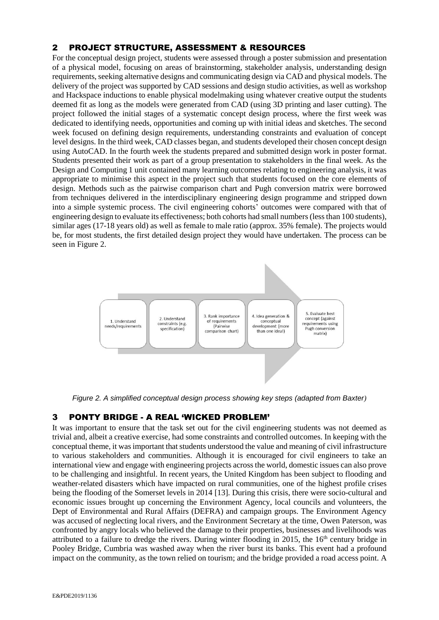### 2 PROJECT STRUCTURE, ASSESSMENT & RESOURCES

For the conceptual design project, students were assessed through a poster submission and presentation of a physical model, focusing on areas of brainstorming, stakeholder analysis, understanding design requirements, seeking alternative designs and communicating design via CAD and physical models. The delivery of the project was supported by CAD sessions and design studio activities, as well as workshop and Hackspace inductions to enable physical modelmaking using whatever creative output the students deemed fit as long as the models were generated from CAD (using 3D printing and laser cutting). The project followed the initial stages of a systematic concept design process, where the first week was dedicated to identifying needs, opportunities and coming up with initial ideas and sketches. The second week focused on defining design requirements, understanding constraints and evaluation of concept level designs. In the third week, CAD classes began, and students developed their chosen concept design using AutoCAD. In the fourth week the students prepared and submitted design work in poster format. Students presented their work as part of a group presentation to stakeholders in the final week. As the Design and Computing 1 unit contained many learning outcomes relating to engineering analysis, it was appropriate to minimise this aspect in the project such that students focused on the core elements of design. Methods such as the pairwise comparison chart and Pugh conversion matrix were borrowed from techniques delivered in the interdisciplinary engineering design programme and stripped down into a simple systemic process. The civil engineering cohorts' outcomes were compared with that of engineering design to evaluate its effectiveness; both cohorts had small numbers (less than 100 students), similar ages (17-18 years old) as well as female to male ratio (approx. 35% female). The projects would be, for most students, the first detailed design project they would have undertaken. The process can be seen in Figure 2.



*Figure 2. A simplified conceptual design process showing key steps (adapted from Baxter)*

### 3 PONTY BRIDGE - A REAL 'WICKED PROBLEM'

It was important to ensure that the task set out for the civil engineering students was not deemed as trivial and, albeit a creative exercise, had some constraints and controlled outcomes. In keeping with the conceptual theme, it was important that students understood the value and meaning of civil infrastructure to various stakeholders and communities. Although it is encouraged for civil engineers to take an international view and engage with engineering projects across the world, domestic issues can also prove to be challenging and insightful. In recent years, the United Kingdom has been subject to flooding and weather-related disasters which have impacted on rural communities, one of the highest profile crises being the flooding of the Somerset levels in 2014 [13]. During this crisis, there were socio-cultural and economic issues brought up concerning the Environment Agency, local councils and volunteers, the Dept of Environmental and Rural Affairs (DEFRA) and campaign groups. The Environment Agency was accused of neglecting local rivers, and the Environment Secretary at the time, Owen Paterson, was confronted by angry locals who believed the damage to their properties, businesses and livelihoods was attributed to a failure to dredge the rivers. During winter flooding in 2015, the  $16<sup>th</sup>$  century bridge in Pooley Bridge, Cumbria was washed away when the river burst its banks. This event had a profound impact on the community, as the town relied on tourism; and the bridge provided a road access point. A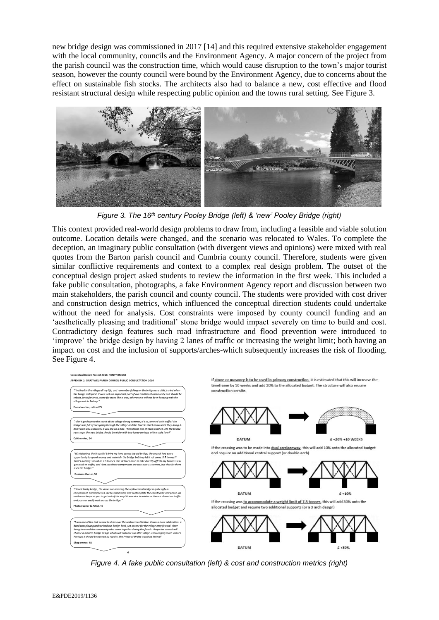new bridge design was commissioned in 2017 [14] and this required extensive stakeholder engagement with the local community, councils and the Environment Agency. A major concern of the project from the parish council was the construction time, which would cause disruption to the town's major tourist season, however the county council were bound by the Environment Agency, due to concerns about the effect on sustainable fish stocks. The architects also had to balance a new, cost effective and flood resistant structural design while respecting public opinion and the towns rural setting. See Figure 3.



*Figure 3. The 16th century Pooley Bridge (left) & 'new' Pooley Bridge (right)*

This context provided real-world design problems to draw from, including a feasible and viable solution outcome. Location details were changed, and the scenario was relocated to Wales. To complete the deception, an imaginary public consultation (with divergent views and opinions) were mixed with real quotes from the Barton parish council and Cumbria county council. Therefore, students were given similar conflictive requirements and context to a complex real design problem. The outset of the conceptual design project asked students to review the information in the first week. This included a fake public consultation, photographs, a fake Environment Agency report and discussion between two main stakeholders, the parish council and county council. The students were provided with cost driver and construction design metrics, which influenced the conceptual direction students could undertake without the need for analysis. Cost constraints were imposed by county council funding and an 'aesthetically pleasing and traditional' stone bridge would impact severely on time to build and cost. Contradictory design features such road infrastructure and flood prevention were introduced to 'improve' the bridge design by having 2 lanes of traffic or increasing the weight limit; both having an impact on cost and the inclusion of supports/arches-which subsequently increases the risk of flooding. See Figure 4.



*Figure 4. A fake public consultation (left) & cost and construction metrics (right)*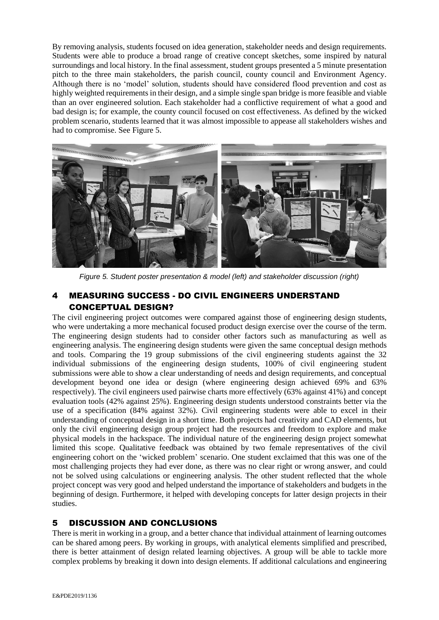By removing analysis, students focused on idea generation, stakeholder needs and design requirements. Students were able to produce a broad range of creative concept sketches, some inspired by natural surroundings and local history. In the final assessment, student groups presented a 5 minute presentation pitch to the three main stakeholders, the parish council, county council and Environment Agency. Although there is no 'model' solution, students should have considered flood prevention and cost as highly weighted requirements in their design, and a simple single span bridge is more feasible and viable than an over engineered solution. Each stakeholder had a conflictive requirement of what a good and bad design is; for example, the county council focused on cost effectiveness. As defined by the wicked problem scenario, students learned that it was almost impossible to appease all stakeholders wishes and had to compromise. See Figure 5.



*Figure 5. Student poster presentation & model (left) and stakeholder discussion (right)*

# 4 MEASURING SUCCESS - DO CIVIL ENGINEERS UNDERSTAND CONCEPTUAL DESIGN?

The civil engineering project outcomes were compared against those of engineering design students, who were undertaking a more mechanical focused product design exercise over the course of the term. The engineering design students had to consider other factors such as manufacturing as well as engineering analysis. The engineering design students were given the same conceptual design methods and tools. Comparing the 19 group submissions of the civil engineering students against the 32 individual submissions of the engineering design students, 100% of civil engineering student submissions were able to show a clear understanding of needs and design requirements, and conceptual development beyond one idea or design (where engineering design achieved 69% and 63% respectively). The civil engineers used pairwise charts more effectively (63% against 41%) and concept evaluation tools (42% against 25%). Engineering design students understood constraints better via the use of a specification (84% against 32%). Civil engineering students were able to excel in their understanding of conceptual design in a short time. Both projects had creativity and CAD elements, but only the civil engineering design group project had the resources and freedom to explore and make physical models in the hackspace. The individual nature of the engineering design project somewhat limited this scope. Qualitative feedback was obtained by two female representatives of the civil engineering cohort on the 'wicked problem' scenario. One student exclaimed that this was one of the most challenging projects they had ever done, as there was no clear right or wrong answer, and could not be solved using calculations or engineering analysis. The other student reflected that the whole project concept was very good and helped understand the importance of stakeholders and budgets in the beginning of design. Furthermore, it helped with developing concepts for latter design projects in their studies.

# 5 DISCUSSION AND CONCLUSIONS

There is merit in working in a group, and a better chance that individual attainment of learning outcomes can be shared among peers. By working in groups, with analytical elements simplified and prescribed, there is better attainment of design related learning objectives. A group will be able to tackle more complex problems by breaking it down into design elements. If additional calculations and engineering